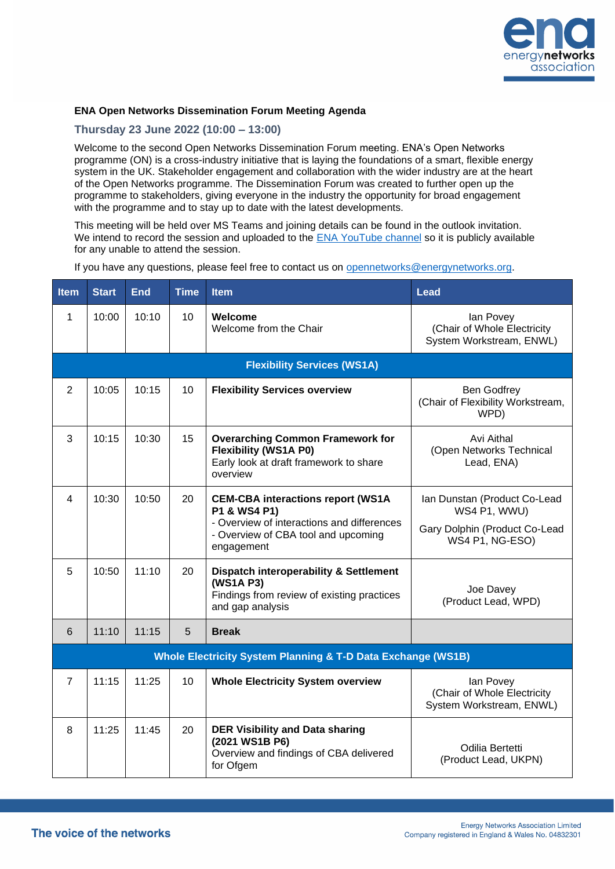

## **ENA Open Networks Dissemination Forum Meeting Agenda**

## **Thursday 23 June 2022 (10:00 – 13:00)**

Welcome to the second Open Networks Dissemination Forum meeting. ENA's Open Networks programme (ON) is a cross-industry initiative that is laying the foundations of a smart, flexible energy system in the UK. Stakeholder engagement and collaboration with the wider industry are at the heart of the Open Networks programme. The Dissemination Forum was created to further open up the programme to stakeholders, giving everyone in the industry the opportunity for broad engagement with the programme and to stay up to date with the latest developments.

This meeting will be held over MS Teams and joining details can be found in the outlook invitation. We intend to record the session and uploaded to the [ENA YouTube channel](https://www.youtube.com/channel/UCXVvdCe4rP9BkHrC0l3DH_A) so it is publicly available for any unable to attend the session.

If you have any questions, please feel free to contact us on [opennetworks@energynetworks.org.](mailto:opennetworks@energynetworks.org)

| Item                                                                    | <b>Start</b> | <b>End</b> | <b>Time</b> | <b>Item</b>                                                                                                                                                 | <b>Lead</b>                                                                                      |  |  |  |  |
|-------------------------------------------------------------------------|--------------|------------|-------------|-------------------------------------------------------------------------------------------------------------------------------------------------------------|--------------------------------------------------------------------------------------------------|--|--|--|--|
| 1                                                                       | 10:00        | 10:10      | 10          | Welcome<br>Welcome from the Chair                                                                                                                           | lan Povey<br>(Chair of Whole Electricity<br>System Workstream, ENWL)                             |  |  |  |  |
| <b>Flexibility Services (WS1A)</b>                                      |              |            |             |                                                                                                                                                             |                                                                                                  |  |  |  |  |
| $\overline{2}$                                                          | 10:05        | 10:15      | 10          | <b>Flexibility Services overview</b>                                                                                                                        | <b>Ben Godfrey</b><br>(Chair of Flexibility Workstream,<br>WPD)                                  |  |  |  |  |
| 3                                                                       | 10:15        | 10:30      | 15          | <b>Overarching Common Framework for</b><br><b>Flexibility (WS1A P0)</b><br>Early look at draft framework to share<br>overview                               | Avi Aithal<br>(Open Networks Technical<br>Lead, ENA)                                             |  |  |  |  |
| 4                                                                       | 10:30        | 10:50      | 20          | <b>CEM-CBA interactions report (WS1A</b><br>P1 & WS4 P1)<br>- Overview of interactions and differences<br>- Overview of CBA tool and upcoming<br>engagement | Ian Dunstan (Product Co-Lead<br>WS4 P1, WWU)<br>Gary Dolphin (Product Co-Lead<br>WS4 P1, NG-ESO) |  |  |  |  |
| 5                                                                       | 10:50        | 11:10      | 20          | <b>Dispatch interoperability &amp; Settlement</b><br>(WS1A P3)<br>Findings from review of existing practices<br>and gap analysis                            | Joe Davey<br>(Product Lead, WPD)                                                                 |  |  |  |  |
| 6                                                                       | 11:10        | 11:15      | 5           | <b>Break</b>                                                                                                                                                |                                                                                                  |  |  |  |  |
| <b>Whole Electricity System Planning &amp; T-D Data Exchange (WS1B)</b> |              |            |             |                                                                                                                                                             |                                                                                                  |  |  |  |  |
| $\overline{7}$                                                          | 11:15        | 11:25      | 10          | <b>Whole Electricity System overview</b>                                                                                                                    | lan Povey<br>(Chair of Whole Electricity<br>System Workstream, ENWL)                             |  |  |  |  |
| 8                                                                       | 11:25        | 11:45      | 20          | <b>DER Visibility and Data sharing</b><br>(2021 WS1B P6)<br>Overview and findings of CBA delivered<br>for Ofgem                                             | Odilia Bertetti<br>(Product Lead, UKPN)                                                          |  |  |  |  |